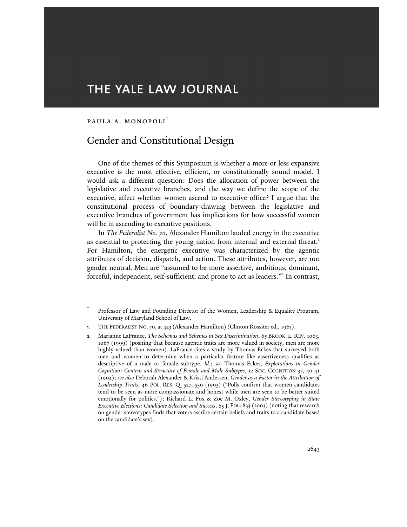## THE YALE LAW JOURNAL

## PAULA A. MONOPOLI<sup>†</sup>

## Gender and Constitutional Design

One of the themes of this Symposium is whether a more or less expansive executive is the most effective, efficient, or constitutionally sound model. I would ask a different question: Does the allocation of power between the legislative and executive branches, and the way we define the scope of the executive, affect whether women ascend to executive office? I argue that the constitutional process of boundary-drawing between the legislative and executive branches of government has implications for how successful women will be in ascending to executive positions.

In *The Federalist No. 70*, Alexander Hamilton lauded energy in the executive as essential to protecting the young nation from internal and external threat.<sup>1</sup> For Hamilton, the energetic executive was characterized by the agentic attributes of decision, dispatch, and action. These attributes, however, are not gender neutral. Men are "assumed to be more assertive, ambitious, dominant, forceful, independent, self-sufficient, and prone to act as leaders."<sup>2</sup> In contrast,

<sup>†</sup> Professor of Law and Founding Director of the Women, Leadership & Equality Program, University of Maryland School of Law.

**<sup>1.</sup>** THE FEDERALIST NO. 70, at 423 (Alexander Hamilton) (Clinton Rossiter ed., 1961).

**<sup>2.</sup>** Marianne LaFrance, *The Schemas and Schemes in Sex Discrimination*, 65 BROOK. L. REV. 1063, 1067 (1999) (positing that because agentic traits are more valued in society, men are more highly valued than women). LaFrance cites a study by Thomas Eckes that surveyed both men and women to determine when a particular feature like assertiveness qualifies as descriptive of a male or female subtype. *Id*.; *see* Thomas Eckes, *Explorations in Gender Cognition: Content and Structure of Female and Male Subtypes*, 12 SOC. COGNITION 37, 40-41 (1994); *see also* Deborah Alexander & Kristi Andersen, *Gender as a Factor in the Attribution of Leadership Traits*, 46 POL. RES. Q. 527, 530 (1993) ("Polls confirm that women candidates tend to be seen as more compassionate and honest while men are seen to be better suited emotionally for politics."); Richard L. Fox & Zoe M. Oxley, *Gender Stereotyping in State Executive Elections: Candidate Selection and Success*, 65 J. POL. 833 (2003) (noting that research on gender stereotypes finds that voters ascribe certain beliefs and traits to a candidate based on the candidate's sex).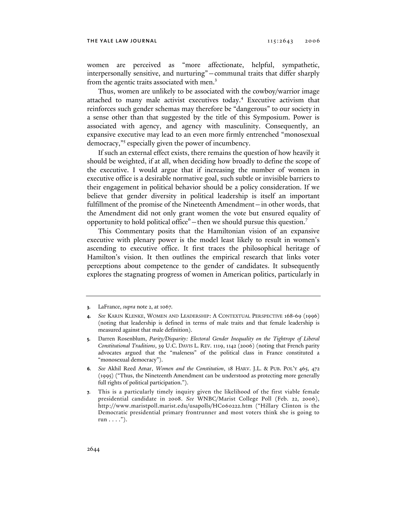women are perceived as "more affectionate, helpful, sympathetic, interpersonally sensitive, and nurturing"—communal traits that differ sharply from the agentic traits associated with men.<sup>3</sup>

Thus, women are unlikely to be associated with the cowboy/warrior image attached to many male activist executives today.<sup>4</sup> Executive activism that reinforces such gender schemas may therefore be "dangerous" to our society in a sense other than that suggested by the title of this Symposium. Power is associated with agency, and agency with masculinity. Consequently, an expansive executive may lead to an even more firmly entrenched "monosexual democracy,"<sup>5</sup> especially given the power of incumbency.

If such an external effect exists, there remains the question of how heavily it should be weighted, if at all, when deciding how broadly to define the scope of the executive. I would argue that if increasing the number of women in executive office is a desirable normative goal, such subtle or invisible barriers to their engagement in political behavior should be a policy consideration. If we believe that gender diversity in political leadership is itself an important fulfillment of the promise of the Nineteenth Amendment—in other words, that the Amendment did not only grant women the vote but ensured equality of opportunity to hold political office<sup>6</sup> – then we should pursue this question.<sup>7</sup>

This Commentary posits that the Hamiltonian vision of an expansive executive with plenary power is the model least likely to result in women's ascending to executive office. It first traces the philosophical heritage of Hamilton's vision. It then outlines the empirical research that links voter perceptions about competence to the gender of candidates. It subsequently explores the stagnating progress of women in American politics, particularly in

**<sup>3.</sup>** LaFrance, *supra* note 2, at 1067*.* 

**<sup>4.</sup>** *See* KARIN KLENKE, WOMEN AND LEADERSHIP: A CONTEXTUAL PERSPECTIVE 168-69 (1996) (noting that leadership is defined in terms of male traits and that female leadership is measured against that male definition).

**<sup>5.</sup>** Darren Rosenblum, *Parity/Disparity: Electoral Gender Inequality on the Tightrope of Liberal Constitutional Traditions*, 39 U.C. DAVIS L. REV. 1119, 1142 (2006) (noting that French parity advocates argued that the "maleness" of the political class in France constituted a "monosexual democracy").

**<sup>6.</sup>** *See* Akhil Reed Amar, *Women and the Constitution*, 18 HARV. J.L. & PUB. POL'Y 465, 472 (1995) ("Thus, the Nineteenth Amendment can be understood as protecting more generally full rights of political participation.").

**<sup>7.</sup>** This is a particularly timely inquiry given the likelihood of the first viable female presidential candidate in 2008. *See* WNBC/Marist College Poll (Feb. 22, 2006), http://www.maristpoll.marist.edu/usapolls/HC060222.htm ("Hillary Clinton is the Democratic presidential primary frontrunner and most voters think she is going to run  $\dots$ ").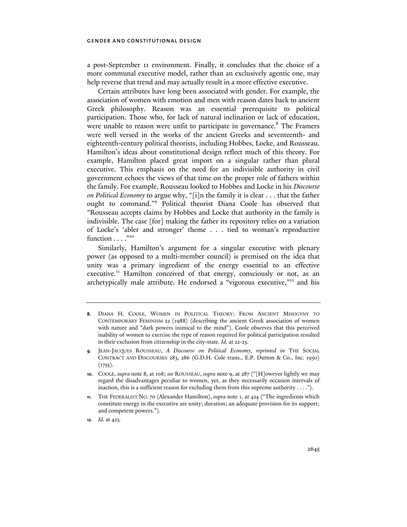a post-September 11 environment. Finally, it concludes that the choice of a more communal executive model, rather than an exclusively agentic one, may help reverse that trend and may actually result in a more effective executive.

Certain attributes have long been associated with gender. For example, the association of women with emotion and men with reason dates back to ancient Greek philosophy. Reason was an essential prerequisite to political participation. Those who, for lack of natural inclination or lack of education, were unable to reason were unfit to participate in governance.<sup>8</sup> The Framers were well versed in the works of the ancient Greeks and seventeenth- and eighteenth-century political theorists, including Hobbes, Locke, and Rousseau. Hamilton's ideas about constitutional design reflect much of this theory. For example, Hamilton placed great import on a singular rather than plural executive. This emphasis on the need for an indivisible authority in civil government echoes the views of that time on the proper role of fathers within the family. For example, Rousseau looked to Hobbes and Locke in his *Discourse on Political Economy* to argue why, "[i]n the family it is clear . . . that the father ought to command."<sup>9</sup> Political theorist Diana Coole has observed that "Rousseau accepts claims by Hobbes and Locke that authority in the family is indivisible. The case [for] making the father its repository relies on a variation of Locke's 'abler and stronger' theme . . . tied to woman's reproductive function . . . . "<sup>10</sup>

Similarly, Hamilton's argument for a singular executive with plenary power (as opposed to a multi-member council) is premised on the idea that unity was a primary ingredient of the energy essential to an effective executive.<sup>11</sup> Hamilton conceived of that energy, consciously or not, as an archetypically male attribute. He endorsed a "vigorous executive,"<sup>12</sup> and his

**10.** COOLE, *supra* note 8, at 108; *see* ROUSSEAU, *supra* note 9, at 287 ("[H]owever lightly we may regard the disadvantages peculiar to women, yet, as they necessarily occasion intervals of inaction, this is a sufficient reason for excluding them from this supreme authority  $\dots$ .").

**11.** THE FEDERALIST NO. 70 (Alexander Hamilton), *supra* note 1, at 424 ("The ingredients which constitute energy in the executive are unity; duration; an adequate provision for its support; and competent powers.").

**12.** *Id.* at 423*.*

**<sup>8.</sup>** DIANA H. COOLE, WOMEN IN POLITICAL THEORY: FROM ANCIENT MISOGYNY TO CONTEMPORARY FEMINISM 22 (1988) (describing the ancient Greek association of women with nature and "dark powers inimical to the mind"). Coole observes that this perceived inability of women to exercise the type of reason required for political participation resulted in their exclusion from citizenship in the city-state. *Id.* at 22-23.

**<sup>9.</sup>** JEAN-JACQUES ROUSSEAU, *A Discourse on Political Economy*, *reprinted in* THE SOCIAL CONTRACT *AND* DISCOURSES 283, 286 (G.D.H. Cole trans., E.P. Dutton & Co., Inc. 1950)  $(1755).$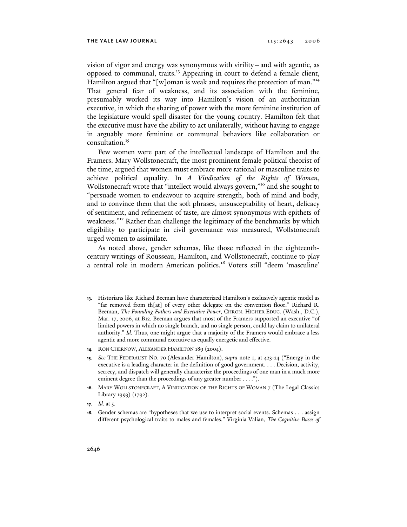vision of vigor and energy was synonymous with virility—and with agentic, as opposed to communal, traits.<sup>13</sup> Appearing in court to defend a female client, Hamilton argued that "[w]oman is weak and requires the protection of man."<sup>14</sup> That general fear of weakness, and its association with the feminine, presumably worked its way into Hamilton's vision of an authoritarian executive, in which the sharing of power with the more feminine institution of the legislature would spell disaster for the young country. Hamilton felt that the executive must have the ability to act unilaterally, without having to engage in arguably more feminine or communal behaviors like collaboration or consultation.<sup>15</sup>

Few women were part of the intellectual landscape of Hamilton and the Framers. Mary Wollstonecraft, the most prominent female political theorist of the time, argued that women must embrace more rational or masculine traits to achieve political equality. In *A Vindication of the Rights of Woman*, Wollstonecraft wrote that "intellect would always govern,"<sup>16</sup> and she sought to "persuade women to endeavour to acquire strength, both of mind and body, and to convince them that the soft phrases, unsusceptability of heart, delicacy of sentiment, and refinement of taste, are almost synonymous with epithets of weakness."<sup>17</sup> Rather than challenge the legitimacy of the benchmarks by which eligibility to participate in civil governance was measured, Wollstonecraft urged women to assimilate.

As noted above, gender schemas, like those reflected in the eighteenthcentury writings of Rousseau, Hamilton, and Wollstonecraft, continue to play a central role in modern American politics.18 Voters still "deem 'masculine'

**<sup>13.</sup>** Historians like Richard Beeman have characterized Hamilton's exclusively agentic model as "far removed from th[at] of every other delegate on the convention floor." Richard R. Beeman, *The Founding Fathers and Executive Power*, CHRON. HIGHER EDUC. (Wash., D.C.), Mar. 17, 2006, at B12. Beeman argues that most of the Framers supported an executive "of limited powers in which no single branch, and no single person, could lay claim to unilateral authority." *Id.* Thus, one might argue that a majority of the Framers would embrace a less agentic and more communal executive as equally energetic and effective.

**<sup>14.</sup>** RON CHERNOW, ALEXANDER HAMILTON 189 (2004).

**<sup>15.</sup>** *See* THE FEDERALIST NO. 70 (Alexander Hamilton), *supra* note 1, at 423-24 ("Energy in the executive is a leading character in the definition of good government. . . . Decision, activity, secrecy, and dispatch will generally characterize the proceedings of one man in a much more eminent degree than the proceedings of any greater number . . . .").

**<sup>16.</sup>** MARY WOLLSTONECRAFT, A VINDICATION OF THE RIGHTS OF WOMAN 7 (The Legal Classics Library 1993) (1792).

**<sup>17.</sup>** *Id*. at 5.

**<sup>18.</sup>** Gender schemas are "hypotheses that we use to interpret social events. Schemas . . . assign different psychological traits to males and females." Virginia Valian, *The Cognitive Bases of*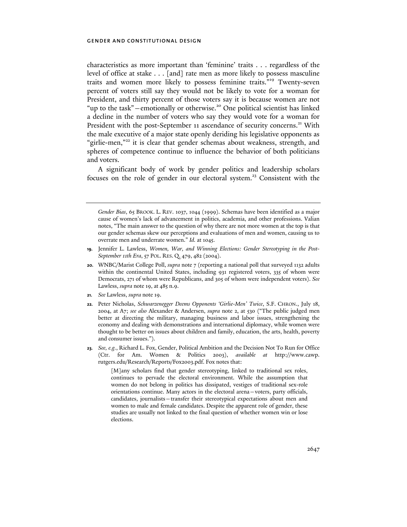characteristics as more important than 'feminine' traits . . . regardless of the level of office at stake . . . [and] rate men as more likely to possess masculine traits and women more likely to possess feminine traits."<sup>19</sup> Twenty-seven percent of voters still say they would not be likely to vote for a woman for President, and thirty percent of those voters say it is because women are not "up to the task" – emotionally or otherwise.<sup>20</sup> One political scientist has linked a decline in the number of voters who say they would vote for a woman for President with the post-September 11 ascendance of security concerns.<sup>21</sup> With the male executive of a major state openly deriding his legislative opponents as "girlie-men,"<sup>22</sup> it is clear that gender schemas about weakness, strength, and spheres of competence continue to influence the behavior of both politicians and voters.

A significant body of work by gender politics and leadership scholars focuses on the role of gender in our electoral system.<sup>23</sup> Consistent with the

*Gender Bias*, 65 BROOK. L. REV. 1037, 1044 (1999). Schemas have been identified as a major cause of women's lack of advancement in politics, academia, and other professions. Valian notes, "The main answer to the question of why there are not more women at the top is that our gender schemas skew our perceptions and evaluations of men and women, causing us to overrate men and underrate women." *Id.* at 1045.

- **19.** Jennifer L. Lawless, *Women, War, and Winning Elections: Gender Stereotyping in the Post-September 11th Era*, 57 POL. RES. Q. 479, 482 (2004).
- **20.** WNBC/Marist College Poll, *supra* note 7 (reporting a national poll that surveyed 1132 adults within the continental United States, including 931 registered voters, 335 of whom were Democrats, 271 of whom were Republicans, and 305 of whom were independent voters). *See* Lawless, *supra* note 19, at 485 n.9.
- **21.** *See* Lawless, *supra* note 19.
- **22.** Peter Nicholas, *Schwarzenegger Deems Opponents 'Girlie-Men' Twice*, S.F. CHRON., July 18, 2004, at A7; *see also* Alexander & Andersen, *supra* note 2, at 530 ("The public judged men better at directing the military, managing business and labor issues, strengthening the economy and dealing with demonstrations and international diplomacy, while women were thought to be better on issues about children and family, education, the arts, health, poverty and consumer issues.")*.*
- **23.** *See, e.g.*, Richard L. Fox, Gender, Political Ambition and the Decision Not To Run for Office (Ctr. for Am. Women & Politics 2003), *available at* http://www.cawp. rutgers.edu/Research/Reports/Fox2003.pdf. Fox notes that:

[M]any scholars find that gender stereotyping, linked to traditional sex roles, continues to pervade the electoral environment. While the assumption that women do not belong in politics has dissipated, vestiges of traditional sex-role orientations continue. Many actors in the electoral arena—voters, party officials, candidates, journalists—transfer their stereotypical expectations about men and women to male and female candidates. Despite the apparent role of gender, these studies are usually not linked to the final question of whether women win or lose elections.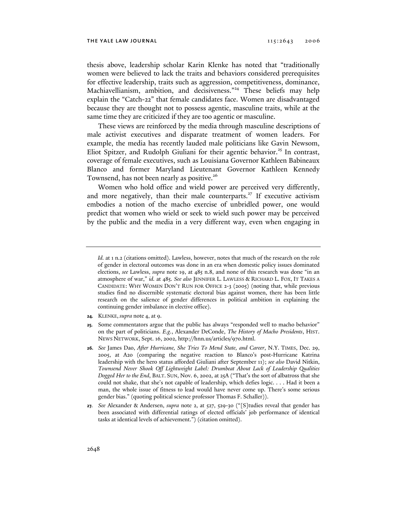thesis above, leadership scholar Karin Klenke has noted that "traditionally women were believed to lack the traits and behaviors considered prerequisites for effective leadership, traits such as aggression, competitiveness, dominance, Machiavellianism, ambition, and decisiveness."<sup>24</sup> These beliefs may help explain the "Catch-22" that female candidates face. Women are disadvantaged because they are thought not to possess agentic, masculine traits, while at the same time they are criticized if they are too agentic or masculine.

These views are reinforced by the media through masculine descriptions of male activist executives and disparate treatment of women leaders. For example, the media has recently lauded male politicians like Gavin Newsom, Eliot Spitzer, and Rudolph Giuliani for their agentic behavior.<sup>25</sup> In contrast, coverage of female executives, such as Louisiana Governor Kathleen Babineaux Blanco and former Maryland Lieutenant Governor Kathleen Kennedy Townsend, has not been nearly as positive.<sup>26</sup>

Women who hold office and wield power are perceived very differently, and more negatively, than their male counterparts. $27$  If executive activism embodies a notion of the macho exercise of unbridled power, one would predict that women who wield or seek to wield such power may be perceived by the public and the media in a very different way, even when engaging in

- **24.** KLENKE, *supra* note 4, at 9.
- **25.** Some commentators argue that the public has always "responded well to macho behavior" on the part of politicians. *E.g.*, Alexander DeConde, *The History of Macho Presidents*, HIST. NEWS NETWORK, Sept. 16, 2002, http://hnn.us/articles/970.html.
- **26.** *See* James Dao, *After Hurricane, She Tries To Mend State, and Career*, N.Y. TIMES, Dec. 29, 2005, at A20 (comparing the negative reaction to Blanco's post-Hurricane Katrina leadership with the hero status afforded Giuliani after September 11); *see also* David Nitkin, *Townsend Never Shook Off Lightweight Label: Drumbeat About Lack of Leadership Qualities Dogged Her to the End*, BALT. SUN, Nov. 6, 2002, at 25A ("That's the sort of albatross that she could not shake, that she's not capable of leadership, which defies logic. . . . Had it been a man, the whole issue of fitness to lead would have never come up. There's some serious gender bias." (quoting political science professor Thomas F. Schaller)).
- **27.** *See* Alexander & Andersen, *supra* note 2, at 527, 529-30 ("[S]tudies reveal that gender has been associated with differential ratings of elected officials' job performance of identical tasks at identical levels of achievement.") (citation omitted).

*Id.* at 1 n.2 (citations omitted). Lawless, however, notes that much of the research on the role of gender in electoral outcomes was done in an era when domestic policy issues dominated elections, *see* Lawless, *supra* note 19, at 485 n.8, and none of this research was done "in an atmosphere of war," *id.* at 485. *See also* JENNIFER L. LAWLESS & RICHARD L. FOX, IT TAKES A CANDIDATE: WHY WOMEN DON'T RUN FOR OFFICE 2-3 (2005) (noting that, while previous studies find no discernible systematic electoral bias against women, there has been little research on the salience of gender differences in political ambition in explaining the continuing gender imbalance in elective office).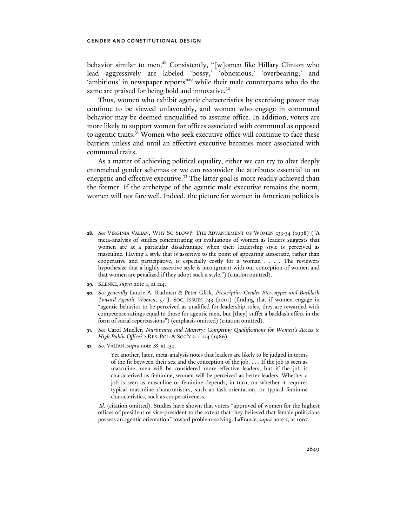behavior similar to men.<sup>28</sup> Consistently, "[w]omen like Hillary Clinton who lead aggressively are labeled 'bossy,' 'obnoxious,' 'overbearing,' and 'ambitious' in newspaper reports"<sup>29</sup> while their male counterparts who do the same are praised for being bold and innovative.<sup>30</sup>

Thus, women who exhibit agentic characteristics by exercising power may continue to be viewed unfavorably, and women who engage in communal behavior may be deemed unqualified to assume office. In addition, voters are more likely to support women for offices associated with communal as opposed to agentic traits.31 Women who seek executive office will continue to face these barriers unless and until an effective executive becomes more associated with communal traits.

As a matter of achieving political equality, either we can try to alter deeply entrenched gender schemas or we can reconsider the attributes essential to an energetic and effective executive.<sup>32</sup> The latter goal is more readily achieved than the former. If the archetype of the agentic male executive remains the norm, women will not fare well. Indeed, the picture for women in American politics is

- **28.** *See* VIRGINIA VALIAN, WHY SO SLOW?: THE ADVANCEMENT OF WOMEN 133-34 (1998) ("A meta-analysis of studies concentrating on evaluations of women as leaders suggests that women are at a particular disadvantage when their leadership style is perceived as masculine. Having a style that is assertive to the point of appearing autocratic, rather than cooperative and participative, is especially costly for a woman . . . . The reviewers hypothesize that a highly assertive style is incongruent with our conception of women and that women are penalized if they adopt such a style.") (citation omitted).
- **29.** KLENKE, *supra* note 4, at 124.
- **30.** *See generally* Laurie A. Rudman & Peter Glick, *Prescriptive Gender Stereotypes and Backlash Toward Agentic Women*, 57 J. SOC. ISSUES 743 (2001) (finding that if women engage in "agentic behavior to be perceived as qualified for leadership roles, they are rewarded with competence ratings equal to those for agentic men, but [they] suffer a backlash effect in the form of social repercussions") (emphasis omitted) (citation omitted).
- **31.** *See* Carol Mueller, *Nurturance and Mastery: Competing Qualifications for Women's Access to High Public Office?* 2 RES. POL. & SOC'Y 211, 214 (1986).
- **32.** *See* VALIAN, *supra* note 28, at 134.

Yet another, later, meta-analysis notes that leaders are likely to be judged in terms of the fit between their sex and the conception of the job. . . . If the job is seen as masculine, men will be considered more effective leaders, but if the job is characterized as feminine, women will be perceived as better leaders. Whether a job is seen as masculine or feminine depends, in turn, on whether it requires typical masculine characteristics, such as task-orientation, or typical feminine characteristics, such as cooperativeness.

*Id.* (citation omitted). Studies have shown that voters "approved of women for the highest offices of president or vice-president to the extent that they believed that female politicians possess an agentic orientation" toward problem-solving. LaFrance, *supra* note 2, at 1067.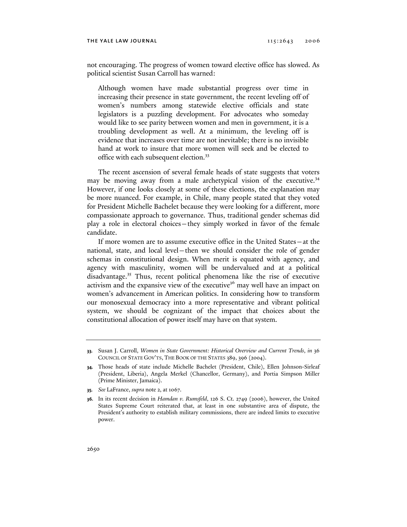not encouraging. The progress of women toward elective office has slowed. As political scientist Susan Carroll has warned:

Although women have made substantial progress over time in increasing their presence in state government, the recent leveling off of women's numbers among statewide elective officials and state legislators is a puzzling development. For advocates who someday would like to see parity between women and men in government, it is a troubling development as well. At a minimum, the leveling off is evidence that increases over time are not inevitable; there is no invisible hand at work to insure that more women will seek and be elected to office with each subsequent election.<sup>33</sup>

The recent ascension of several female heads of state suggests that voters may be moving away from a male archetypical vision of the executive.<sup>34</sup> However, if one looks closely at some of these elections, the explanation may be more nuanced. For example, in Chile, many people stated that they voted for President Michelle Bachelet because they were looking for a different, more compassionate approach to governance. Thus, traditional gender schemas did play a role in electoral choices—they simply worked in favor of the female candidate.

If more women are to assume executive office in the United States—at the national, state, and local level—then we should consider the role of gender schemas in constitutional design. When merit is equated with agency, and agency with masculinity, women will be undervalued and at a political disadvantage.<sup>35</sup> Thus, recent political phenomena like the rise of executive activism and the expansive view of the executive<sup>36</sup> may well have an impact on women's advancement in American politics. In considering how to transform our monosexual democracy into a more representative and vibrant political system, we should be cognizant of the impact that choices about the constitutional allocation of power itself may have on that system.

**35.** *See* LaFrance, *supra* note 2, at 1067.

**<sup>33.</sup>** Susan J. Carroll, *Women in State Government: Historical Overview and Current Trends*, *in* 36 COUNCIL OF STATE GOV'TS, THE BOOK OF THE STATES 389, 396 (2004).

**<sup>34.</sup>** Those heads of state include Michelle Bachelet (President, Chile), Ellen Johnson-Sirleaf (President, Liberia), Angela Merkel (Chancellor, Germany), and Portia Simpson Miller (Prime Minister, Jamaica).

**<sup>36.</sup>** In its recent decision in *Hamdan v. Rumsfeld*, 126 S. Ct. 2749 (2006), however, the United States Supreme Court reiterated that, at least in one substantive area of dispute, the President's authority to establish military commissions, there are indeed limits to executive power.